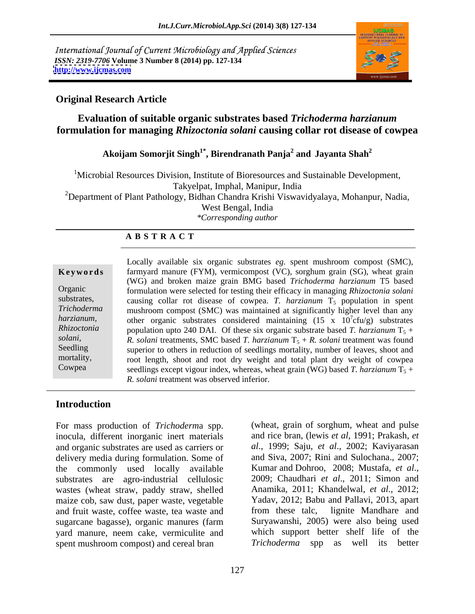International Journal of Current Microbiology and Applied Sciences *ISSN: 2319-7706* **Volume 3 Number 8 (2014) pp. 127-134 <http://www.ijcmas.com>**



## **Original Research Article**

# **Evaluation of suitable organic substrates based** *Trichoderma harzianum* **formulation for managing** *Rhizoctonia solani* **causing collar rot disease of cowpea**

### Akoijam Somorjit Singh<sup>1\*</sup>, Birendranath Panja<sup>2</sup> and Javanta Shah<sup>2</sup>  **and Jayanta Shah<sup>2</sup>**

<sup>1</sup>Microbial Resources Division, Institute of Bioresources and Sustainable Development, Takyelpat, Imphal, Manipur, India <sup>2</sup>Department of Plant Pathology, Bidhan Chandra Krishi Viswavidyalaya, Mohanpur, Nadia, West Bengal, India *\*Corresponding author* 

### **A B S T R A C T**

**Keywords** farmyard manure (FYM), vermicompost (VC), sorghum grain (SG), wheat grain Organic formulation were selected for testing their efficacy in managing *Rhizoctonia solani* substrates, causing collar rot disease of cowpea. *T. harzianum*  $T_5$  population in spent *Trichoderma*  mushroom compost (SMC) was maintained at significantly higher level than any *harzianum*, other organic substrates considered maintaining (15 x 10<sup>7</sup>cfu/g) substrates *Rhizoctonia* population upto 240 DAI. Of these six organic substrate based *T. harzianum*  $T_5$  + *solani,* **R.** *solani* treatments, SMC based *T. harzianum*  $T_5 + R$ *. solani* treatment was found Seedling superior to others in reduction of seedlings mortality, number of leaves, shoot and mortality, root length, shoot and root dry weight and total plant dry weight of cowpea Cowpea seedlings except vigour index, whereas, wheat grain (WG) based *T. harzianum*  $\hat{T}_5$  + Locally available six organic substrates *eg.* spent mushroom compost (SMC), (WG) and broken maize grain BMG based *Trichoderma harzianum* T5 based  $7 \text{cm/s}$  experience cfu/g) substrates *R. solani* treatment was observed inferior.

## **Introduction**

For mass production of *Trichoderm*a spp. inocula, different inorganic inert materials and organic substrates are used as carriers or delivery media during formulation. Some of the commonly used locally available Kumar and Dohroo, 2008; Mustafa, *et al.*, substrates are agro-industrial cellulosic 2009; Chaudhari *et al.*, 2011; Simon and substrates are agro-industrial cellulosic wastes (wheat straw, paddy straw, shelled maize cob, saw dust, paper waste, vegetable and fruit waste, coffee waste, tea waste and from these talc, lignite Mandhare and sugarcane bagasse), organic manures (farm yard manure, neem cake, vermiculite and which support better shelf life of the spent mushroom compost) and cereal bran *Trichoderma* spp as well its better spent mushroom compost) and cereal bran Trichoderma spp as

(wheat, grain of sorghum, wheat and pulse and rice bran, (lewis *et al*, 1991; Prakash, *et al*., 1999; Saju, *et al*., 2002; Kaviyarasan and Siva, 2007; Rini and Sulochana., 2007; Kumar and Dohroo, 2008; Mustafa, *et al*., 2009; Chaudhari *et al*., 2011; Simon and Anamika, 2011; Khandelwal, *et al*., 2012; Yadav, 2012; Babu and Pallavi, 2013, apart from these talc, lignite Mandhare and Suryawanshi, 2005) were also being used which support better shelf life of the *Trichoderma* spp as well its better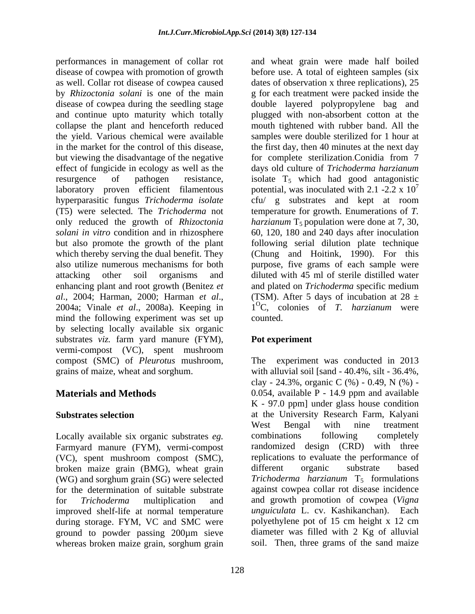performances in management of collar rot and wheat grain were made half boiled disease of cowpea with promotion of growth as well. Collar rot disease of cowpea caused dates of observation x three replications), 25 by *Rhizoctonia solani* is one of the main g for each treatmentwere packed inside the disease of cowpea during the seedling stage double layered polypropylene bag and and continue upto maturity which totally plugged with non-absorbent cotton at the collapse the plant and henceforth reduced mouth tightened with rubber band. All the the yield. Various chemical were available samples were double sterilized for 1 hour at in the market for the control of this disease, the first day, then 40 minutes at the next day but viewing the disadvantage of the negative effect of fungicide in ecology as well as the days old culture of *Trichoderma harzianum* resurgence of pathogen resistance, isolate  $T_5$  which had good antagonistic laboratory proven efficient filamentous potential, was inoculated with 2.1 -2.2 x 10<sup>'</sup> hyperparasitic fungus *Trichoderma isolate* cfu/ g substrates and kept at room (T5) were selected. The *Trichoderma* not only reduced the growth of *Rhizoctonia harzianum* T<sub>5</sub> population were done at 7, 30, *solani in vitro* condition and in rhizosphere 60, 120, 180 and 240 days afterinoculation but also promote the growth of the plant following serial dilution plate technique which thereby serving the dual benefit. They (Chung and Hoitink, 1990). For this also utilize numerous mechanisms for both purpose, five grams of each sample were attacking other soil organisms and diluted with 45 ml of sterile distilled water enhancing plant and root growth (Benitez *et*  and plated on *Trichoderma* specific medium *al*., 2004; Harman, 2000; Harman *et al*., 2004a; Vinale *et al*., 2008a). Keeping in mind the following experiment was set up counted. by selecting locally available six organic substrates *viz.* farm yard manure (FYM), vermi-compost (VC), spent mushroom compost (SMC) of *Pleurotus* mushroom, grains of maize, wheat and sorghum. with alluvial soil [sand - 40.4%, silt - 36.4%,

Locally available six organic substrates eg. combinations following completely Farmyard manure (FYM), vermi-compost (VC), spent mushroom compost (SMC), replications to evaluate the performance of broken maize grain (BMG), wheat grain different organic substrate based (WG) and sorghum grain (SG) were selected for the determination of suitable substrate against cowpea collar rot disease incidence for *Trichoderma* multiplication and and growth promotion of cowpea (*Vigna*  improved shelf-life at normal temperature *unguiculata* L. cv. Kashikanchan). Each during storage. FYM, VC and SMC were polyethylene pot of 15 cm height x 12 cm during storage. FYM, VC and SMC were ground to powder passing 200µm sieve whereas broken maize grain, sorghum grain

before use. A total of eighteen samples (six for complete sterilization.Conidia from 7 7 temperature for growth. Enumerations of *T.*  (TSM). After 5 days of incubation at 28  $\pm$ 1<sup>O</sup> C, colonies of *T. harzianum* were counted.

# **Pot experiment**

**Materials and Methods** 0.054, available P - 14.9 ppm and available **Substrates selection** at the University Research Farm, Kalyani experiment was conducted in 2013 clay - 24.3%, organic C (%) - 0.49, N (%) - K - 97.0 ppm] under glass house condition West Bengal with nine treatment combinations following completely randomized design (CRD) with three different organic substrate based *Trichoderma harzianum* T<sub>5</sub> formulations *unguiculata* L. cv. Kashikanchan). Each polyethylene pot of 15 cm height x 12 cm diameter was filled with 2 Kg of alluvial soil. Then, three grams of the sand maize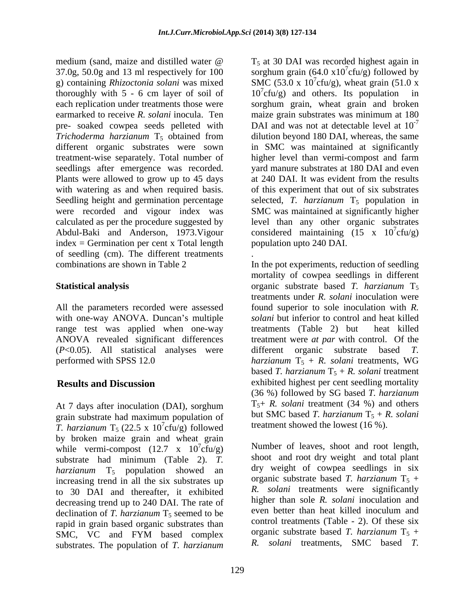medium (sand, maize and distilled water  $\omega$  T<sub>5</sub> at 30 DAI was recorded highest again in 37.0g, 50.0g and 13 ml respectively for 100 thoroughly with 5 - 6 cm layer of soil of  $10^7$ cfu/g) and others. Its population in seedlings after emergence was recorded. Plants were allowed to grow up to 45 days at 240 DAI. It was evident from the results index = Germination per cent x Total length of seedling (cm). The different treatments of seedling (cm). The different treatments <br>combinations are shown in Table 2 **In the pot experiments**, reduction of seedling

with one-way ANOVA. Duncan's multiple range test was applied when one-way treatments (Table 2) but heat killed (*P*<0.05). All statistical analyses were

At 7 days after inoculation (DAI), sorghum grain substrate had maximum population of *T. harzianum*  $T_5$  (22.5 x 10<sup>7</sup>cfu/g) followed by broken maize grain and wheat grain while vermi-compost  $(12.7 \times 10^{7} \text{cfty/g})$ substrate had minimum (Table 2). *T. harzianum* T<sub>5</sub> population showed an increasing trend in all the six substrates up to 30 DAI and thereafter, it exhibited decreasing trend up to 240 DAI. The rate of declination of *T. harzianum* T<sub>5</sub> seemed to be rapid in grain based organic substrates than substrates. The population of *T. harzianum* R. *solani* treatments, SMC based *T.* 

g) containing *Rhizoctonia solani* was mixed SMC (53.0 x 10<sup>7</sup>cfu/g), wheat grain (51.0 x each replication under treatments those were sorghum grain, wheat grain and broken earmarked to receive *R. solani* inocula. Ten maize grain substrates was minimum at 180 pre- soaked cowpea seeds pelleted with DAI and was not at detectable level at  $10^{-7}$ *Trichoderma harzianum* T<sub>5</sub> obtained from dilution beyond 180 DAI, whereas, the same different organic substrates were sown in SMC was maintained at significantly treatment-wise separately. Total number of higher level than vermi-compost and farm with watering as and when required basis. of this experiment that out of six substrates Seedling height and germination percentage selected, *T. harzianum* T<sub>5</sub> population in were recorded and vigour index was SMC was maintained at significantly higher calculated as per the procedure suggested by level than any other organic substrates Abdul-Baki and Anderson, 1973. Vigour considered maintaining (15 x 10'cfu/g)  $T<sub>5</sub>$  at 30 DAI was recorded highest again in sorghum grain (64.0 x10<sup>7</sup>cfu/g) followed by  $7<sub>ofu</sub>(\alpha)$  followed by cfu/g) followed by 10<sup>7</sup> cfu/g) and others. Its population in -7 yard manure substrates at 180 DAI and even at 240 DAI.It was evident from the results  $7\text{cftu}/\text{g}$  $cfu/g$ ) population upto 240 DAI.

**Statistical analysis organic** substrate based *T. harzianum* T<sub>5</sub> All the parameters recorded were assessed found superior to sole inoculation with *R.*  ANOVA revealed significant differences treatment were *at par* with control. Of the performed with SPSS 12.0  $hargianum T_5 + R.$  *solani* treatments, WG **Results and Discussion** exhibited highest per cent seedling mortality treatment showed the lowest  $(16\%)$ . cfu/g) followed the treatment showed the lowest  $(16\%)$ . mortality of cowpea seedlings in different treatments under *R. solani* inoculation were *solani* but inferior to control and heat killed treatments (Table 2) but heat killed different organic substrate based based *T. harzianum*  $T_5 + R$  *solani* treatment (36 %) followed by SG based *T. harzianum*  $T_5$ + *R. solani* treatment (34 %) and others but SMC based *T. harzianum*  $T_5 + R$ *. solani* 

 ${}^{7}$ cfu/g) Number of leaves, shoot and root length, SMC, VC and FYM based complex organic substrate based *I. hargianum*  $1_5 +$ treatment showed the lowest (16 %). Number of leaves, shoot and root length, shoot and root dry weight and total plant dry weight of cowpea seedlings in six organic substrate based *T. harzianum*  $T_5$  + *R. solani* treatments were significantly higher than sole *R. solani* inoculation and even better than heat killed inoculum and control treatments (Table - 2). Of these six organic substrate based *T. harzianum*  $T_5$  + *R. solani* treatments, SMC based *T.*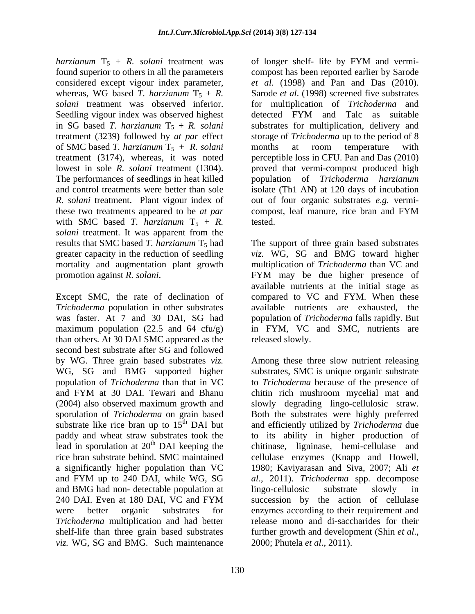*harzianum*  $T_5$  + *R. solani* treatment was of longer shelf- life by FYM and vermifound superior to others in all the parameters compost has been reported earlier by Sarode considered except vigour index parameter, whereas, WG based *T. harzianum*  $T_5 + R$ . Sarode *et al.* (1998) screened five substrates *solani* treatment was observed inferior. for multiplication of *Trichoderma* and Seedling vigour index was observed highest detected FYM and Talc as suitable in SG based *T. harzianum*  $T_5 + R$ . *solani* substrates for multiplication, delivery and treatment (3239) followed by *at par* effect storage of *Trichoderma* up to the period of 8 of SMC based *T. harzianum*  $T_5 + R$ . *solani* months at room temperature with treatment (3174), whereas, it was noted perceptible loss in CFU. Pan and Das (2010) lowest in sole *R. solani* treatment (1304). The performances of seedlings in heat killed population of *Trichoderma harzianum* and control treatments were better than sole isolate (Th1 AN) at 120 days of incubation *R. solani* treatment. Plant vigour index of out of four organic substrates *e.g.* vermi these two treatments appeared to be *at par* with SMC based *T. harzianum*  $T_5 + R$ . tested. *solani* treatment. It was apparent from the

*Trichoderma* population in other substrates available nutrients are exhausted, the was faster. At 7 and 30 DAI, SG had population of *Trichoderma* falls rapidly. But maximum population  $(22.5 \text{ and } 64 \text{ cfu/g})$ than others. At 30 DAI SMC appeared as the second best substrate after SG and followed by WG. Three grain based substrates *viz.*  WG, SG and BMG supported higher substrates, SMC is unique organic substrate population of *Trichoderma* than that in VC to *Trichoderma* because of the presence of and FYM at 30 DAI. Tewari and Bhanu chitin rich mushroom mycelial mat and (2004) also observed maximum growth and slowly degrading lingo-cellulosic straw. sporulation of *Trichoderma* on grain based Both the substrates were highly preferred substrate like rice bran up to  $15<sup>th</sup>$  DAI but and efficiently utilized by *Trichoderma* due paddy and wheat straw substrates took the to its ability in higher production of lead in sporulation at 20<sup>th</sup> DAI keeping the chitinase, ligninase, hemi-cellulase and rice bran substrate behind. SMC maintained cellulase enzymes (Knapp and Howell, a significantly higher population than VC 1980; Kaviyarasan and Siva, 2007; Ali *et*  and FYM up to 240 DAI, while WG, SG al., 2011). Trichoderma spp. decompose and BMG had non- detectable population at 240 DAI. Even at 180 DAI, VC and FYM succession by the action of cellulase were better organic substrates for enzymes according to their requirement and *Trichoderma* multiplication and had better release mono and di-saccharides for their shelf-life than three grain based substrates further growth and development (Shin *et al.*, *viz.* WG, SG and BMG. Such maintenance 2000; Phutela et al., 2011).

130

of longer shelf- life by FYM and vermi *et al*. (1998) and Pan and Das (2010). detected FYM and Talc as suitable months at room temperature with proved that vermi-compost produced high population of *Trichoderma harzianum* compost, leaf manure, rice bran and FYM tested.

results that SMC based *T. harzianum* T<sub>5</sub> had The support of three grain based substrates greater capacity in the reduction of seedling *viz.* WG, SG and BMG toward higher mortality and augmentation plant growth multiplication of *Trichoderma* than VC and promotion against *R. solani*.<br>
Except SMC, the rate of declination of available nutrients at the initial stage as<br>
Except SMC, the rate of declination of compared to VC and FYM. When these FYM may be due higher presence of available nutrients at the initial stage as compared to VC and FYM. When these in FYM, VC and SMC, nutrients are released slowly.

> Among these three slow nutrient releasing *al*., 2011). *Trichoderma* spp. decompose lingo-cellulosic substrate slowly in succession by the action of cellulase further growth and development (Shin *et al*., 2000; Phutela *et al*., 2011).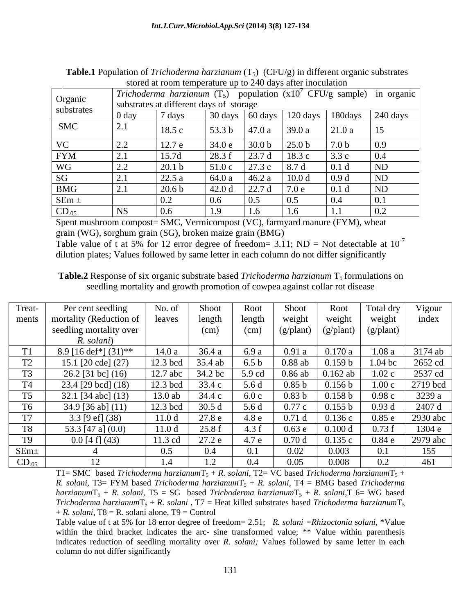|                     |                                                                                                                                      | $\frac{1}{2}$     |        |                 |                   |                  |                                            |  |  |
|---------------------|--------------------------------------------------------------------------------------------------------------------------------------|-------------------|--------|-----------------|-------------------|------------------|--------------------------------------------|--|--|
| Organic             | <i>Trichoderma harzianum</i> $(T_5)$ population $(x10^7 \text{ CFU/g sample})$ in organic<br>substrates at different days of storage |                   |        |                 |                   |                  |                                            |  |  |
| substrates          |                                                                                                                                      |                   |        |                 |                   |                  |                                            |  |  |
|                     | $\vert$ 0 day                                                                                                                        | 7 days            |        |                 |                   |                  | 30 days 60 days 120 days 180 days 240 days |  |  |
| <b>SMC</b>          | -∠.⊥                                                                                                                                 | 18.5 c            | 53.3 b | 147.0a          | 39.0 a            | 21.0 a           | $\vert$ 15                                 |  |  |
| $\mathbf{V}$<br>v C | $\overline{a}$                                                                                                                       | 12.7 e            | 34.0 e | 30.0 b          | 25.0 <sub>b</sub> | 7.0 <sub>b</sub> | $\vert 0.9 \vert$                          |  |  |
| <b>FYM</b>          |                                                                                                                                      | 15.7d             | 28.3 f | 23.7 d          | 18.3c             | 3.3c             | $\overline{0.4}$                           |  |  |
| WG                  | $\Omega$<br>$\angle$ . $\angle$                                                                                                      | 20.1 <sub>b</sub> | 51.0c  | $\sqrt{27.3}$ c | $\vert 8.7d$      | 0.1 <sub>d</sub> | <b>ND</b>                                  |  |  |
| SG                  |                                                                                                                                      | 22.5 a            | 64.0 a | 46.2 a          | 10.0 d            | $\vert 0.9 d$    | ND                                         |  |  |
| <b>BMG</b>          |                                                                                                                                      | 20.6 <sub>b</sub> | 42.0 d | 22.7 d          | 7.0 e             | $\vert$ 0.1 d    | ND                                         |  |  |
| $SEm =$             |                                                                                                                                      | 0.2               | 0.6    | 0.5             | 0.5               | 0.4              | 0.1                                        |  |  |
| $CD_{.05}$          | IND.                                                                                                                                 | 0.6               | 1.9    | 1.0             | 1.0               | 1.               | 0.2                                        |  |  |

**Table.1** Population of *Trichoderma harzianum*  $(T_5)$  (CFU/g) in different organic substrates stored at room temperature up to 240 days after inoculation

Spent mushroom compost= SMC, Vermicompost (VC), farmyard manure (FYM), wheat grain (WG), sorghum grain (SG), broken maize grain (BMG)

Table value of t at 5% for 12 error degree of freedom= 3.11; ND = Not detectable at  $10^{-7}$ -7 dilution plates; Values followed by same letter in each column do not differ significantly

**Table.2** Response of six organic substrate based *Trichoderma harzianum* T<sub>5</sub> formulations on seedling mortality and growth promotion of cowpea against collar rot disease

| Treat-         | Per cent seedling       | No. of            | Shoot   | Root             | Shoot              | Root            | Total dry          | Vigour   |
|----------------|-------------------------|-------------------|---------|------------------|--------------------|-----------------|--------------------|----------|
| ments          | mortality (Reduction of | leaves            | length  | length           | weight             | weight          | weight             | index    |
|                | seedling mortality over |                   | (cm)    | (cm)             | $(g/\text{plant})$ | (g/plant)       | $(g/\text{plant})$ |          |
|                | R. solani)              |                   |         |                  |                    |                 |                    |          |
| T <sub>1</sub> | 8.9 [16 def*] $(31)$ ** | 14.0a             | 36.4 a  | 6.9 a            | 0.91a              | 0.170a          | 1.08a              | 3174 ab  |
| T2             | 15.1 $[20$ cde] $(27)$  | 12.3 bcd          | 35.4 ab | 6.5 <sub>b</sub> | $0.88$ ab          | 0.159 b         | $1.04$ bc          | 2652 cd  |
| T <sub>3</sub> | 26.2 [31 bc] (16)       | 12.7 abc          | 34.2 bc | 5.9 cd           | $0.86$ ab          | $0.162$ ab      | 1.02c              | 2537 cd  |
| <b>T4</b>      | $23.4$ [29 bcd] (18)    | 12.3 bcd          | 33.4 c  | 5.6 d            | 0.85 <sub>b</sub>  | 0.156 b         | 1.00c              | 2719 bcd |
| T <sub>5</sub> | 32.1 [34 abc] $(13)$    | $13.0$ ab         | 34.4 c  | 6.0c             | 0.83 <sub>b</sub>  | 0.158 b         | 0.98c              | 3239 a   |
| T <sub>6</sub> | 34.9 [36 ab] (11)       | 12.3 bcd          | 30.5d   | 5.6 d            | 0.77c              | 0.155 b         | 0.93d              | 2407 d   |
| T7             | 3.3 [9 $ef$ ] (38)      | 11.0 <sub>d</sub> | 27.8 e  | 4.8 e            | 0.71d              | 0.136c          | 0.85e              | 2930 abc |
| <b>T8</b>      | 53.3 [47 a] $(0.0)$     | 11.0 <sub>d</sub> | 25.8f   | 4.3 f            | 0.63e              | $0.100\ \alpha$ | 0.73 f             | 1304 e   |
| T <sub>9</sub> | $0.0$ [4 f] (43)        | 11.3 cd           | 27.2 e  | 4.7 e            | 0.70d              | 0.135c          | 0.84e              | 2979 abc |
| $SEm+$         |                         | 0.5               | 0.4     | $\overline{0}$ . | 0.02               | 0.003           | 0.1                | 155      |
| $CD_{.05}$     |                         | 1.4               |         | 0.4              | 0.05               | 0.008           |                    | 461      |

T1= SMC based *Trichoderma harzianum*T<sub>5</sub> + *R. solani*, T2= VC based *Trichoderma harzianum*T<sub>5</sub> + *R. solani*, T3= FYM based *Trichoderma harzianum*T<sub>5</sub> + *R. solani*, T4 = BMG based *Trichoderma*  $hargianumT_5 + R$ . *solani*, T5 = SG based *Trichoderma harzianum* $T_5 + R$ . *solani*, T6 = WG based *Trichoderma harzianum* $T_5 + R$ . *solani*, T7 = Heat killed substrates based *Trichoderma harzianum* $T_5$  $+ R.$  *solani*, T8 = R. solani alone, T9 = Control

Table value of t at 5% for 18 error degree of freedom= 2.51; *R. solani =Rhizoctonia solani,* \*Value within the third bracket indicates the arc- sine transformed value; \*\* Value within parenthesis indicates reduction of seedling mortality over *R. solani;* Values followed by same letter in each column do not differ significantly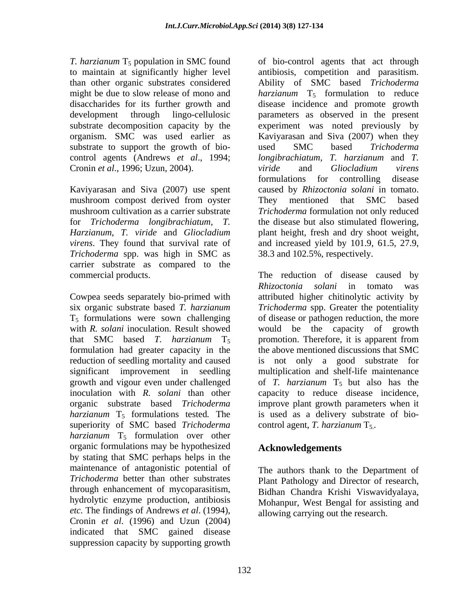*T. harzianum*  $T_5$  population in SMC found substrate to support the growth of bio-<br>used SMC based Trichoderma control agents (Andrews *et al*., 1994; Cronin *et al*., 1996; Uzun, 2004).

mushroom compost derived from oyster They mentioned that SMC based *Trichoderma* spp. was high in SMC as carrier substrate as compared to the

that SMC based *T. harzianum*  $T_5$  promotion. Therefore, it is apparent from *harzianum* T<sub>5</sub> formulations tested. The superiority of SMC based *Trichoderma harzianum* T<sub>5</sub> formulation over other organic formulations may be hypothesized **Acknowledgements** by stating that SMC perhaps helps in the maintenance of antagonistic potential of *Trichoderma* better than other substrates through enhancement of mycoparasitism, hydrolytic enzyme production, antibiosis *etc.* The findings of Andrews *et al*. (1994), Cronin *et al*. (1996) and Uzun (2004) indicated that SMC gained disease suppression capacity by supporting growth

to maintain at significantly higher level antibiosis, competition and parasitism. than other organic substrates considered Ability of SMC based *Trichoderma*  might be due to slow release of mono and *harzianum* T<sub>5</sub> formulation to reduce disaccharides for its further growth and disease incidence and promote growth development through lingo-cellulosic parameters as observed in the present substrate decomposition capacity by the experiment was noted previously by organism. SMC was used earlier as Kaviyarasan and Siva (2007) when they Kaviyarasan and Siva (2007) use spent caused by *Rhizoctonia solani* in tomato. mushroom cultivation as a carrier substrate *Trichoderma* formulation not only reduced for *Trichoderma longibrachiatum*, *T.*  the disease but also stimulated flowering, *Harzianum*, *T. viride* and *Gliocladium*  plant height, fresh and dry shoot weight, *virens*. They found that survival rate of and increased yield by 101.9, 61.5, 27.9, of bio-control agents that act through used SMC based *Trichoderma longibrachiatum*, *T. harzianum* and *T. viride* and *Gliocladium virens* formulations for controlling disease They mentioned that SMC based 38.3 and 102.5%, respectively.

commercial products. The reduction of disease caused by Cowpea seeds separately bio-primed with attributed higher chitinolytic activity by six organic substrate based *T. harzianum Trichoderma* spp. Greater the potentiality  $T_5$  formulations were sown challenging of disease or pathogen reduction, the more with *R. solani* inoculation. Result showed would be the capacity of growth formulation had greater capacity in the the above mentioned discussions that SMC reduction of seedling mortality and caused is not only a good substrate for significant improvement in seedling multiplication and shelf-life maintenance growth and vigour even under challenged of *T. harzianum* T<sub>5</sub> but also has the inoculation with *R. solani* than other capacity to reduce disease incidence, organic substrate based *Trichoderma*  improve plant growth parameters when it *Rhizoctonia solani* in tomato was promotion. Therefore, it is apparent from is used as a delivery substrate of bio control agent, *T. harzianum* T<sub>5</sub>.

# **Acknowledgements**

The authors thank to the Department of Plant Pathology and Director of research, Bidhan Chandra Krishi Viswavidyalaya, Mohanpur, West Bengal for assisting and allowing carrying out the research.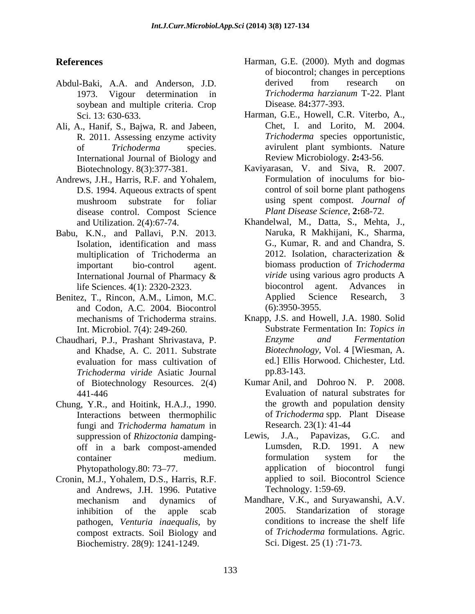- Abdul-Baki, A.A. and Anderson, J.D. derived from research on 1973. Vigour determination in *Trichoderma harzianum* T-22. Plant 1973. Vigour determination in soybean and multiple criteria. Crop
- Ali, A., Hanif, S., Bajwa, R. and Jabeen, International Journal of Biology and
- Andrews, J.H., Harris, R.F. and Yohalem, D.S. 1994. Aqueous extracts of spent disease control. Compost Science
- Babu, K.N., and Pallavi, P.N. 2013. multiplication of Trichoderma an
- Benitez, T., Rincon, A.M., Limon, M.C. Applied Science Research, 3 and Codon, A.C. 2004. Biocontrol (6):3950-3955.
- Chaudhari, P.J., Prashant Shrivastava, P. and Khadse, A. C. 2011. Substrate *Trichoderma viride* Asiatic Journal of Biotechnology Resources. 2(4)
- Chung, Y.R., and Hoitink, H.A.J., 1990. Interactions between thermophilic
- Cronin, M.J., Yohalem, D.S., Harris, R.F. and Andrews, J.H. 1996. Putative pathogen, *Venturia inaequalis*, by compost extracts. Soil Biology and Biochemistry*.* 28(9): 1241-1249.
- **References** Harman, G.E. (2000). Myth and dogmas of biocontrol; changes in perceptions derived from research on *Trichoderma harzianum* T-22. Plant Disease*.* 84**:**377-393.
	- Sci. 13: 630-633. Harman, G.E., Howell, C.R. Viterbo, A., R. 2011. Assessing enzyme activity *Trichoderma* species opportunistic, of *Trichoderma* species. avirulent plant symbionts. Nature Chet, I. and Lorito, M. 2004. Review Microbiology. **2:**43-56.
	- Biotechnology. 8(3):377-381. Kaviyarasan, V. and Siva, R. 2007.<br>ews. J.H., Harris. R.F. and Yohalem. Formulation of inoculums for biomushroom substrate for foliar using spent compost. Journal of Kaviyarasan, V. and Siva, R. 2007. Formulation of inoculums for bio control of soil borne plant pathogens using spent compost. *Journal of Plant Disease Science*, **2:**68-72.
	- and Utilization. 2(4):67-74. Khandelwal, M., Datta, S., Mehta, J., Isolation, identification and mass G., Kumar, R. and and Chandra, S. multiplication of Trichoderma an 2012. Isolation. characterization & important bio-control agent. biomass production of *Trichoderma*  International Journal of Pharmacy  $\&$  *viride* using various agro products A life Sciences. 4(1): 2320-2323. biocontrol agent. Advances in<br>ez T Rincon A M Limon M C Applied Science Research. 3 Naruka, R Makhijani, K., Sharma, G., Kumar, R. and and Chandra, S. 2012. Isolation, characterization & *viride* using various agro products A biocontrol agent. Advances in Applied Science Research, 3 (6):3950-3955.
	- mechanisms of Trichoderma strains. Knapp, J.S. and Howell, J.A. 1980. Solid Int. Microbiol. 7(4): 249-260. Substrate Fermentation In: *Topics in*  evaluation for mass cultivation of ed.] Ellis Horwood. Chichester, Ltd. *Enzyme and Fermentation Biotechnology,* Vol. 4 [Wiesman, A. pp.83-143.
	- 441-446 Evaluation of natural substrates for fungi and *Trichoderma hamatum* in Kumar Anil, and Dohroo N. P. 2008. the growth and population density of *Trichoderma* spp. Plant Disease Research*.* 23(1): 41-44
	- suppression of *Rhizoctonia* damping-<br>Lewis, J.A., Papavizas, G.C. and off in a bark compost-amended<br>container and medium. The formulation system for the container container medium. Container medium. Container medium. Phytopathology. 80: 73–77. **Access 20: 20: 31 application** of biocontrol fungi Lewis, J.A., Papavizas, G.C. and Lumsden, R.D. 1991. A new formulation system for the applied to soil. Biocontrol Science Technology. 1:59-69.
	- mechanism and dynamics of Mandhare, V.K., and Suryawanshi, A.V. inhibition of the apple scab 2005. Standarization of storage Mandhare, V.K., and Suryawanshi, A.V. conditions to increase the shelf life of *Trichoderma* formulations. Agric. Sci. Digest. 25 (1) :71-73.